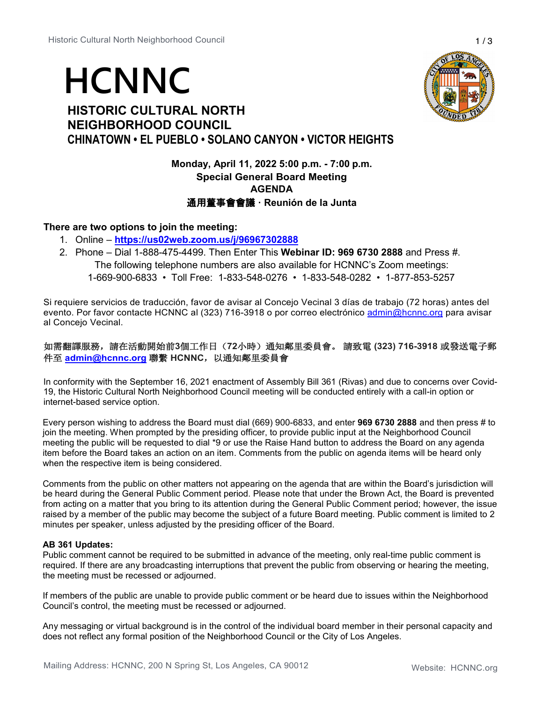# **HCNNC**

# **HISTORIC CULTURAL NORTH NEIGHBORHOOD COUNCIL CHINATOWN • EL PUEBLO • SOLANO CANYON • VICTOR HEIGHTS**



**Monday, April 11, 2022 5:00 p.m. - 7:00 p.m. Special General Board Meeting AGENDA** 通用董事會會議 **· Reunión de la Junta**

# **There are two options to join the meeting:**

- 1. Online **<https://us02web.zoom.us/j/96967302888>**
- 2. Phone Dial 1-888-475-4499. Then Enter This **Webinar ID: 969 6730 2888** and Press #. The following telephone numbers are also available for HCNNC's Zoom meetings: 1-669-900-6833 • Toll Free: 1-833-548-0276 • 1-833-548-0282 • 1-877-853-5257

Si requiere servicios de traducción, favor de avisar al Concejo Vecinal 3 días de trabajo (72 horas) antes del evento. Por favor contacte HCNNC al (323) 716-3918 o por correo electrónico [admin@hcnnc.org](mailto:admin@hcnnc.org) para avisar al Concejo Vecinal.

# 如需翻譯服務,請在活動開始前**3**個工作日(**72**小時)通知鄰里委員會。 請致電 **(323) 716-3918** 或發送電子郵 件至 **[admin@hcnnc.org](mailto:admin@hcnnc.org)** 聯繫 **HCNNC**,以通知鄰里委員會

In conformity with the September 16, 2021 enactment of Assembly Bill 361 (Rivas) and due to concerns over Covid-19, the Historic Cultural North Neighborhood Council meeting will be conducted entirely with a call-in option or internet-based service option.

Every person wishing to address the Board must dial (669) 900-6833, and enter **969 6730 2888** and then press # to join the meeting. When prompted by the presiding officer, to provide public input at the Neighborhood Council meeting the public will be requested to dial \*9 or use the Raise Hand button to address the Board on any agenda item before the Board takes an action on an item. Comments from the public on agenda items will be heard only when the respective item is being considered.

Comments from the public on other matters not appearing on the agenda that are within the Board's jurisdiction will be heard during the General Public Comment period. Please note that under the Brown Act, the Board is prevented from acting on a matter that you bring to its attention during the General Public Comment period; however, the issue raised by a member of the public may become the subject of a future Board meeting. Public comment is limited to 2 minutes per speaker, unless adjusted by the presiding officer of the Board.

## **AB 361 Updates:**

Public comment cannot be required to be submitted in advance of the meeting, only real-time public comment is required. If there are any broadcasting interruptions that prevent the public from observing or hearing the meeting, the meeting must be recessed or adjourned.

If members of the public are unable to provide public comment or be heard due to issues within the Neighborhood Council's control, the meeting must be recessed or adjourned.

Any messaging or virtual background is in the control of the individual board member in their personal capacity and does not reflect any formal position of the Neighborhood Council or the City of Los Angeles.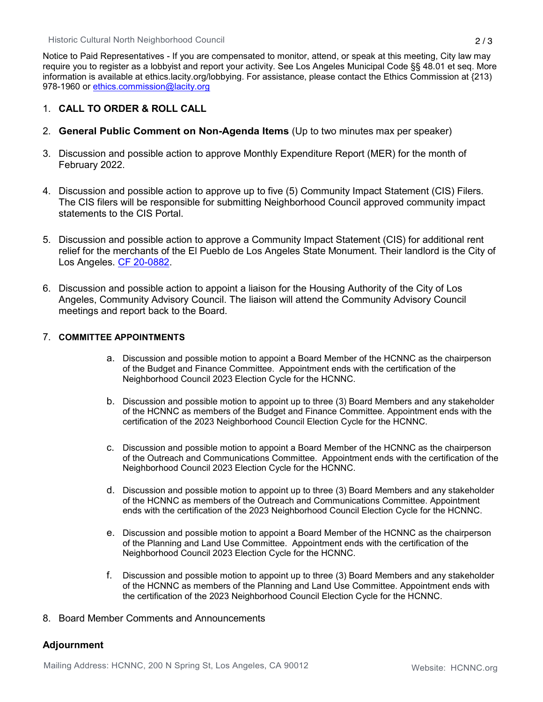Notice to Paid Representatives - If you are compensated to monitor, attend, or speak at this meeting, City law may require you to register as a lobbyist and report your activity. See Los Angeles Municipal Code §§ 48.01 et seq. More information is available at ethics.lacity.org/lobbying. For assistance, please contact the Ethics Commission at {213) 978-1960 or [ethics.commission@lacity.org](mailto:ethics.commission@lacity.org)

# 1. **CALL TO ORDER & ROLL CALL**

- 2. **General Public Comment on Non-Agenda Items** (Up to two minutes max per speaker)
- 3. Discussion and possible action to approve Monthly Expenditure Report (MER) for the month of February 2022.
- 4. Discussion and possible action to approve up to five (5) Community Impact Statement (CIS) Filers. The CIS filers will be responsible for submitting Neighborhood Council approved community impact statements to the CIS Portal.
- 5. Discussion and possible action to approve a Community Impact Statement (CIS) for additional rent relief for the merchants of the El Pueblo de Los Angeles State Monument. Their landlord is the City of Los Angeles. [CF 20-0882.](https://cityclerk.lacity.org/lacityclerkconnect/index.cfm?fa=ccfi.viewrecord&cfnumber=20-0882)
- 6. Discussion and possible action to appoint a liaison for the Housing Authority of the City of Los Angeles, Community Advisory Council. The liaison will attend the Community Advisory Council meetings and report back to the Board.

## 7. **COMMITTEE APPOINTMENTS**

- a. Discussion and possible motion to appoint a Board Member of the HCNNC as the chairperson of the Budget and Finance Committee. Appointment ends with the certification of the Neighborhood Council 2023 Election Cycle for the HCNNC.
- b. Discussion and possible motion to appoint up to three (3) Board Members and any stakeholder of the HCNNC as members of the Budget and Finance Committee. Appointment ends with the certification of the 2023 Neighborhood Council Election Cycle for the HCNNC.
- c. Discussion and possible motion to appoint a Board Member of the HCNNC as the chairperson of the Outreach and Communications Committee. Appointment ends with the certification of the Neighborhood Council 2023 Election Cycle for the HCNNC.
- d. Discussion and possible motion to appoint up to three (3) Board Members and any stakeholder of the HCNNC as members of the Outreach and Communications Committee. Appointment ends with the certification of the 2023 Neighborhood Council Election Cycle for the HCNNC.
- e. Discussion and possible motion to appoint a Board Member of the HCNNC as the chairperson of the Planning and Land Use Committee. Appointment ends with the certification of the Neighborhood Council 2023 Election Cycle for the HCNNC.
- f. Discussion and possible motion to appoint up to three (3) Board Members and any stakeholder of the HCNNC as members of the Planning and Land Use Committee. Appointment ends with the certification of the 2023 Neighborhood Council Election Cycle for the HCNNC.

## 8. Board Member Comments and Announcements

# **Adjournment**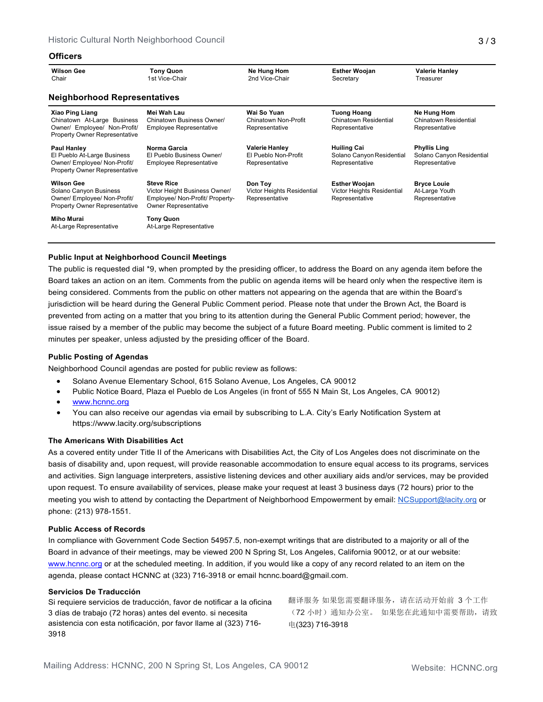### **Officers**

| <b>Wilson Gee</b><br>Chair                                                                                                    | <b>Tony Quon</b><br>1st Vice-Chair                                                                                   | Ne Hung Hom<br>2nd Vice-Chair                                   | <b>Esther Woojan</b><br>Secretary                                    | <b>Valerie Hanley</b><br>Treasurer                                 |  |  |  |
|-------------------------------------------------------------------------------------------------------------------------------|----------------------------------------------------------------------------------------------------------------------|-----------------------------------------------------------------|----------------------------------------------------------------------|--------------------------------------------------------------------|--|--|--|
| <b>Neighborhood Representatives</b>                                                                                           |                                                                                                                      |                                                                 |                                                                      |                                                                    |  |  |  |
| <b>Xiao Ping Liang</b><br>Chinatown At-Large Business<br>Owner/ Employee/ Non-Profit/<br><b>Property Owner Representative</b> | Mei Wah Lau<br>Chinatown Business Owner/<br><b>Employee Representative</b>                                           | Wai So Yuan<br>Chinatown Non-Profit<br>Representative           | <b>Tuong Hoang</b><br>Chinatown Residential<br>Representative        | Ne Hung Hom<br>Chinatown Residential<br>Representative             |  |  |  |
| <b>Paul Hanley</b><br>El Pueblo At-Large Business<br>Owner/ Employee/ Non-Profit/<br><b>Property Owner Representative</b>     | Norma Garcia<br>El Pueblo Business Owner/<br><b>Employee Representative</b>                                          | <b>Valerie Hanley</b><br>El Pueblo Non-Profit<br>Representative | <b>Huiling Cai</b><br>Solano Canyon Residential<br>Representative    | <b>Phyllis Ling</b><br>Solano Canyon Residential<br>Representative |  |  |  |
| <b>Wilson Gee</b><br>Solano Canyon Business<br>Owner/ Employee/ Non-Profit/<br><b>Property Owner Representative</b>           | <b>Steve Rice</b><br>Victor Height Business Owner/<br>Employee/ Non-Profit/ Property-<br><b>Owner Representative</b> | Don Toy<br>Victor Heights Residential<br>Representative         | <b>Esther Woojan</b><br>Victor Heights Residential<br>Representative | <b>Bryce Louie</b><br>At-Large Youth<br>Representative             |  |  |  |
| Miho Murai<br>At-Large Representative                                                                                         | <b>Tony Quon</b><br>At-Large Representative                                                                          |                                                                 |                                                                      |                                                                    |  |  |  |

## **Public Input at Neighborhood Council Meetings**

The public is requested dial \*9, when prompted by the presiding officer, to address the Board on any agenda item before the Board takes an action on an item. Comments from the public on agenda items will be heard only when the respective item is being considered. Comments from the public on other matters not appearing on the agenda that are within the Board's jurisdiction will be heard during the General Public Comment period. Please note that under the Brown Act, the Board is prevented from acting on a matter that you bring to its attention during the General Public Comment period; however, the issue raised by a member of the public may become the subject of a future Board meeting. Public comment is limited to 2 minutes per speaker, unless adjusted by the presiding officer of the Board.

### **Public Posting of Agendas**

Neighborhood Council agendas are posted for public review as follows:

- Solano Avenue Elementary School, 615 Solano Avenue, Los Angeles, CA 90012
- Public Notice Board, Plaza el Pueblo de Los Angeles (in front of 555 N Main St, Los Angeles, CA 90012)
- [www.hcnnc.org](http://www.hcnnc.org/)
- You can also receive our agendas via email by subscribing to L.A. City's Early Notification System at https:/[/www.lacity.org/subscriptions](http://www.lacity.org/subscriptions)

## **The Americans With Disabilities Act**

As a covered entity under Title II of the Americans with Disabilities Act, the City of Los Angeles does not discriminate on the basis of disability and, upon request, will provide reasonable accommodation to ensure equal access to its programs, services and activities. Sign language interpreters, assistive listening devices and other auxiliary aids and/or services, may be provided upon request. To ensure availability of services, please make your request at least 3 business days (72 hours) prior to the meeting you wish to attend by contacting the Department of Neighborhood Empowerment by email: [NCSupport@lacity.org](mailto:NCSupport@lacity.org) or phone: (213) 978-1551.

#### **Public Access of Records**

In compliance with Government Code Section 54957.5, non-exempt writings that are distributed to a majority or all of the Board in advance of their meetings, may be viewed 200 N Spring St, Los Angeles, California 90012, or at our website: [www.hcnnc.org](http://www.hcnnc.org/) or at the scheduled meeting. In addition, if you would like a copy of any record related to an item on the agenda, please contact HCNNC at (323) 716-3918 or emai[l hcnnc.board@gmail.com.](mailto:hcnnc.board@gmail.com)

#### **Servicios De Traducción**

Si requiere servicios de traducción, favor de notificar a la oficina 3 días de trabajo (72 horas) antes del evento. si necesita asistencia con esta notificación, por favor llame al (323) 716- 3918

翻译服务 如果您需要翻译服务,请在活动开始前 3 个工作 (72 小时)通知办公室。 如果您在此通知中需要帮助,请致 电(323) 716-3918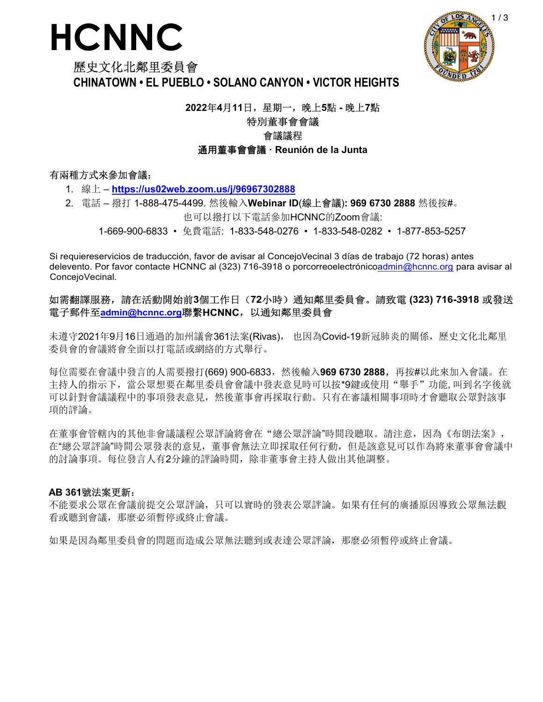# **HCNNC**



# 歷史文化北鄰里委員會 **CHINATOWN • EL PUEBLO • SOLANO CANYON • VICTOR HEIGHTS**

# **2022**年**4**月**11**日,星期一,晚上**5**點 **-** 晚上**7**點 特別董事會會議

# 會議議程

# 通用董事會會議 **· Reunión de la Junta**

# 有兩種方式來參加會議:

- 1. 線上 **https://us02web.zoom.us/j/96967302888**
- 2. 電話 撥打 1-888-475-4499. 然後輸入**Webinar ID**(線上會議)**: 969 6730 2888** 然後按#。

也可以撥打以下電話參加HCNNC的Zoom會議:

1-669-900-6833 • 免費電話: 1-833-548-0276 • 1-833-548-0282 • 1-877-853-5257

Si requiereservicios de traducción, favor de avisar al ConcejoVecinal 3 días de trabajo (72 horas) antes delevento. Por favor contacte HCNNC al (323) 716-3918 o porcorreoelectrónicoadmin@hcnnc.org para avisar al ConcejoVecinal.

# 如需翻譯服務,請在活動開始前**3**個工作日(**72**小時)通知鄰里委員會。請致電 **(323) 716-3918** 或發送 電子郵件至**admin@hcnnc.org**聯繫**HCNNC**,以通知鄰里委員會

未遵守2021年9月16日通過的加州議會361法案(Rivas), 也因為Covid-19新冠肺炎的關係, 歷史文化北鄰里 委員會的會議將會全面以打電話或網絡的方式舉行。

每位需要在會議中發言的人需要撥打(669) 900-6833,然後輸入**969 6730 2888,**再按#以此來加入會議。在 主持人的指示下,當公眾想要在鄰里委員會會議中發表意見時可以按\*9鍵或使用"舉手"功能,叫到名字後就 可以針對會議議程中的事項發表意見,然後董事會再採取行動。只有在審議相關事項時才會聽取公眾對該事 項的評論。

在董事會管轄內的其他非會議議程公眾評論將會在"總公眾評論"時間段聽取。請注意,因為《布朗法案》, 在"總公眾評論"時間公眾發表的意見,董事會無法立即採取任何行動,但是該意見可以作為將來董事會會議中 的討論事項。每位發言人有2分鐘的評論時間,除非董事會主持人做出其他調整。

# **AB 361**號法案更新:

不能要求公眾在會議前提交公眾評論,只可以實時的發表公眾評論。如果有任何的廣播原因導致公眾無法觀 看或聽到會議,那麼必須暫停或終止會議。

如果是因為鄰里委員會的問題而造成公眾無法聽到或表達公眾評論,那麼必須暫停或終止會議。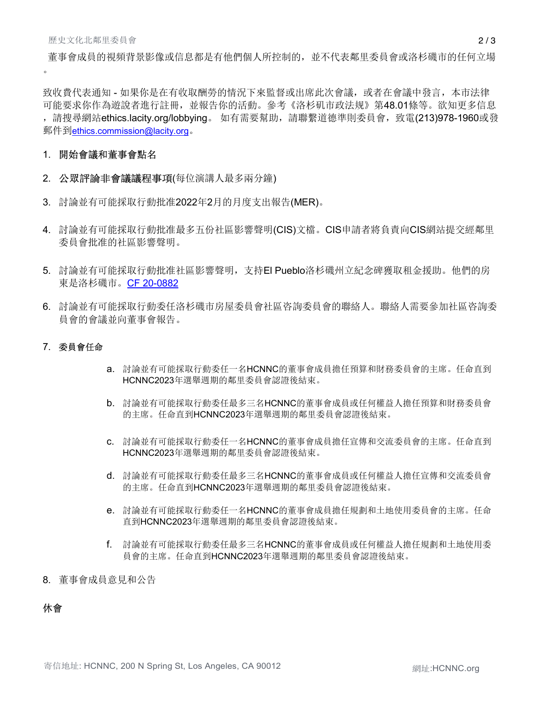董事會成員的視頻背景影像或信息都是有他們個人所控制的,並不代表鄰里委員會或洛杉磯市的任何立場  $\bullet$ 

致收費代表通知 - 如果你是在有收取酬勞的情況下來監督或出席此次會議, 或者在會議中發言, 本市法律 可能要求你作為遊說者進行註冊,並報告你的活動。參考《洛杉矶市政法规》第48.01條等。欲知更多信息 ,請搜尋網站ethics.lacity.org/lobbying。 如有需要幫助,請聯繫道德準則委員會,致電(213)978-1960或發 郵件到ethics.commission@lacity.org。

# 1. 開始會議和董事會點名

- 2. 公眾評論非會議議程事項(每位演講人最多兩分鐘)
- 3. 討論並有可能採取行動批准2022年2月的月度支出報告(MER)。
- 4. 討論並有可能採取行動批准最多五份社區影響聲明(CIS)文檔。CIS申請者將負責向CIS網站提交經鄰里 委員會批准的社區影響聲明。
- 5. 討論並有可能採取行動批准社區影響聲明,支持El Pueblo洛杉磯州立紀念碑獲取租金援助。他們的房 東是洛杉磯市。CF 20-0882
- 6. 討論並有可能採取行動委任洛杉磯市房屋委員會社區咨詢委員會的聯絡人。聯絡人需要參加社區咨詢委 員會的會議並向董事會報告。

## 7. 委員會任命

- a. 討論並有可能採取行動委任一名HCNNC的董事會成員擔任預算和財務委員會的主席。任命直到 HCNNC2023年選舉週期的鄰里委員會認證後結束。
- b. 討論並有可能採取行動委任最多三名HCNNC的董事會成員或任何權益人擔任預算和財務委員會 的主席。任命直到HCNNC2023年選舉週期的鄰里委員會認證後結束。
- c. 討論並有可能採取行動委任一名HCNNC的董事會成員擔任宣傳和交流委員會的主席。任命直到 HCNNC2023年選舉週期的鄰里委員會認證後結束。
- d. 討論並有可能採取行動委任最多三名HCNNC的董事會成員或任何權益人擔任宣傳和交流委員會 的主席。任命直到HCNNC2023年選舉週期的鄰里委員會認證後結束。
- e. 討論並有可能採取行動委任一名HCNNC的董事會成員擔任規劃和土地使用委員會的主席。任命 直到HCNNC2023年選舉週期的鄰里委員會認證後結束。
- f. 討論並有可能採取行動委任最多三名HCNNC的董事會成員或任何權益人擔任規劃和土地使用委 員會的主席。任命直到HCNNC2023年選舉週期的鄰里委員會認證後結束。
- 8. 董事會成員意見和公告

# 休會